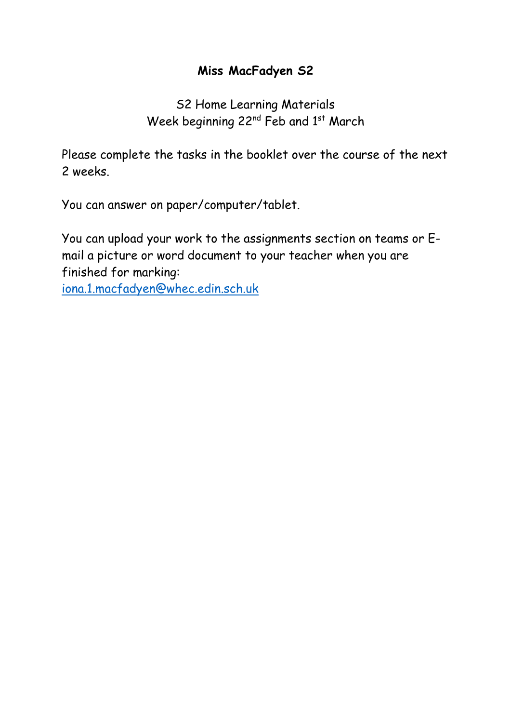### **Miss MacFadyen S2**

## S2 Home Learning Materials Week beginning 22<sup>nd</sup> Feb and 1<sup>st</sup> March

Please complete the tasks in the booklet over the course of the next 2 weeks.

You can answer on paper/computer/tablet.

You can upload your work to the assignments section on teams or Email a picture or word document to your teacher when you are finished for marking: [iona.1.macfadyen@whec.edin.sch.uk](mailto:iona.1.macfadyen@whec.edin.sch.uk)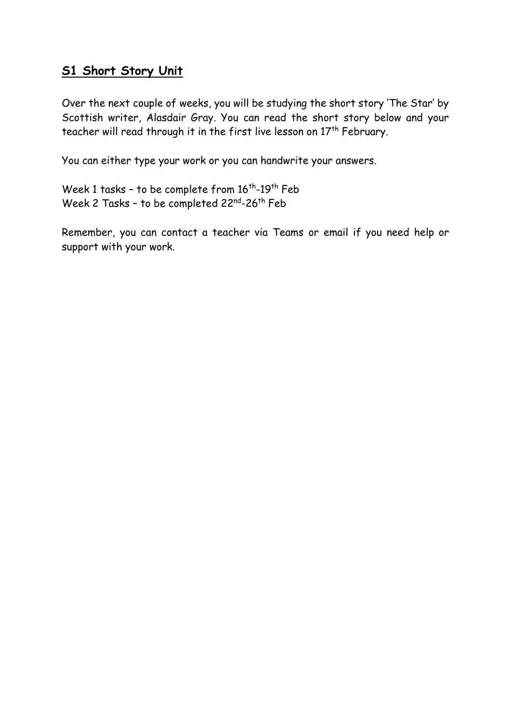#### **S1 Short Story Unit**

Over the next couple of weeks, you will be studying the short story 'The Star' by Scottish writer, Alasdair Gray. You can read the short story below and your teacher will read through it in the first live lesson on 17<sup>th</sup> February.

You can either type your work or you can handwrite your answers.

Week 1 tasks - to be complete from 16<sup>th</sup>-19<sup>th</sup> Feb Week 2 Tasks - to be completed 22nd-26th Feb

Remember, you can contact a teacher via Teams or email if you need help or support with your work.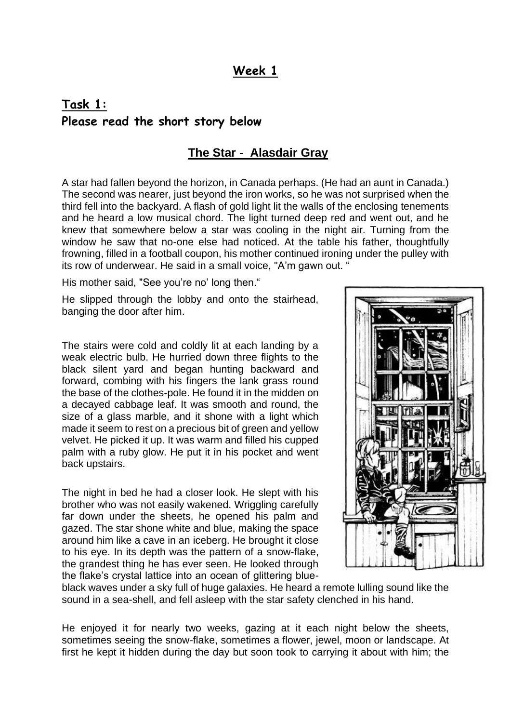#### **Week 1**

## **Task 1: Please read the short story below**

#### **The Star - Alasdair Gray**

A star had fallen beyond the horizon, in Canada perhaps. (He had an aunt in Canada.) The second was nearer, just beyond the iron works, so he was not surprised when the third fell into the backyard. A flash of gold light lit the walls of the enclosing tenements and he heard a low musical chord. The light turned deep red and went out, and he knew that somewhere below a star was cooling in the night air. Turning from the window he saw that no-one else had noticed. At the table his father, thoughtfully frowning, filled in a football coupon, his mother continued ironing under the pulley with its row of underwear. He said in a small voice, "A'm gawn out. "

His mother said, "See you're no' long then."

He slipped through the lobby and onto the stairhead, banging the door after him.

The stairs were cold and coldly lit at each landing by a weak electric bulb. He hurried down three flights to the black silent yard and began hunting backward and forward, combing with his fingers the lank grass round the base of the clothes-pole. He found it in the midden on a decayed cabbage leaf. It was smooth and round, the size of a glass marble, and it shone with a light which made it seem to rest on a precious bit of green and yellow velvet. He picked it up. It was warm and filled his cupped palm with a ruby glow. He put it in his pocket and went back upstairs.

The night in bed he had a closer look. He slept with his brother who was not easily wakened. Wriggling carefully far down under the sheets, he opened his palm and gazed. The star shone white and blue, making the space around him like a cave in an iceberg. He brought it close to his eye. In its depth was the pattern of a snow-flake, the grandest thing he has ever seen. He looked through the flake's crystal lattice into an ocean of glittering blue-



black waves under a sky full of huge galaxies. He heard a remote lulling sound like the sound in a sea-shell, and fell asleep with the star safety clenched in his hand.

He enjoyed it for nearly two weeks, gazing at it each night below the sheets, sometimes seeing the snow-flake, sometimes a flower, jewel, moon or landscape. At first he kept it hidden during the day but soon took to carrying it about with him; the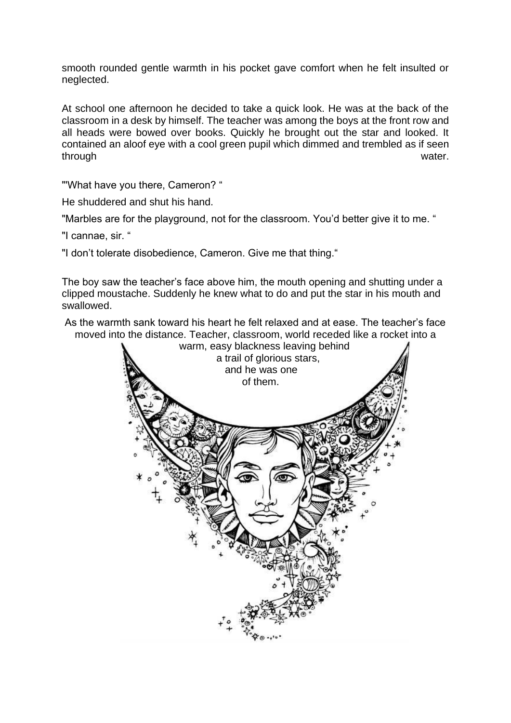smooth rounded gentle warmth in his pocket gave comfort when he felt insulted or neglected.

At school one afternoon he decided to take a quick look. He was at the back of the classroom in a desk by himself. The teacher was among the boys at the front row and all heads were bowed over books. Quickly he brought out the star and looked. It contained an aloof eye with a cool green pupil which dimmed and trembled as if seen through water.

"'What have you there, Cameron? "

He shuddered and shut his hand.

"Marbles are for the playground, not for the classroom. You'd better give it to me. "

"I cannae, sir. "

"I don't tolerate disobedience, Cameron. Give me that thing."

The boy saw the teacher's face above him, the mouth opening and shutting under a clipped moustache. Suddenly he knew what to do and put the star in his mouth and swallowed.

As the warmth sank toward his heart he felt relaxed and at ease. The teacher's face moved into the distance. Teacher, classroom, world receded like a rocket into a

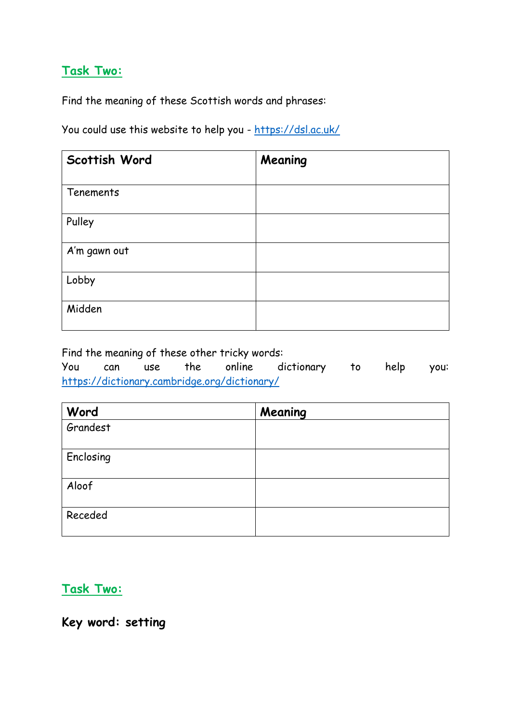#### **Task Two:**

Find the meaning of these Scottish words and phrases:

You could use this website to help you - <https://dsl.ac.uk/>

| Scottish Word | Meaning |
|---------------|---------|
| Tenements     |         |
| Pulley        |         |
| A'm gawn out  |         |
| Lobby         |         |
| Midden        |         |

Find the meaning of these other tricky words:

You can use the online dictionary to help you: <https://dictionary.cambridge.org/dictionary/>

| Word      | Meaning |
|-----------|---------|
| Grandest  |         |
| Enclosing |         |
| Aloof     |         |
| Receded   |         |

**Task Two:**

**Key word: setting**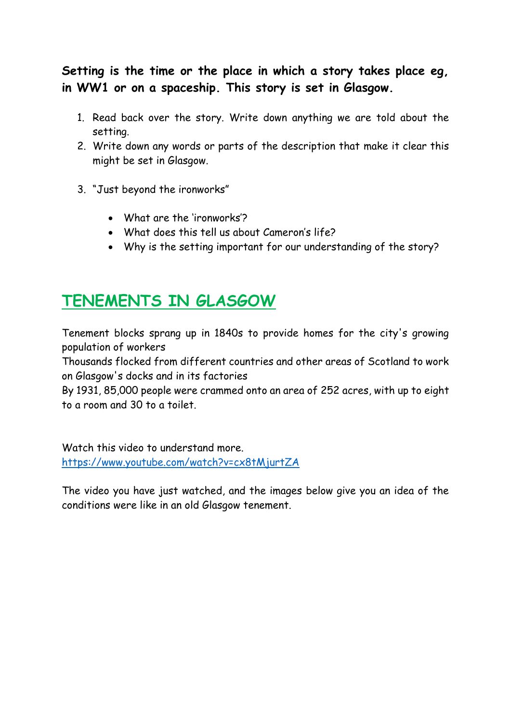**Setting is the time or the place in which a story takes place eg, in WW1 or on a spaceship. This story is set in Glasgow.** 

- 1. Read back over the story. Write down anything we are told about the setting.
- 2. Write down any words or parts of the description that make it clear this might be set in Glasgow.
- 3. "Just beyond the ironworks"
	- What are the 'ironworks'?
	- What does this tell us about Cameron's life?
	- Why is the setting important for our understanding of the story?

# **TENEMENTS IN GLASGOW**

Tenement blocks sprang up in 1840s to provide homes for the city's growing population of workers

Thousands flocked from different countries and other areas of Scotland to work on Glasgow's docks and in its factories

By 1931, 85,000 people were crammed onto an area of 252 acres, with up to eight to a room and 30 to a toilet.

Watch this video to understand more. <https://www.youtube.com/watch?v=cx8tMjurtZA>

The video you have just watched, and the images below give you an idea of the conditions were like in an old Glasgow tenement.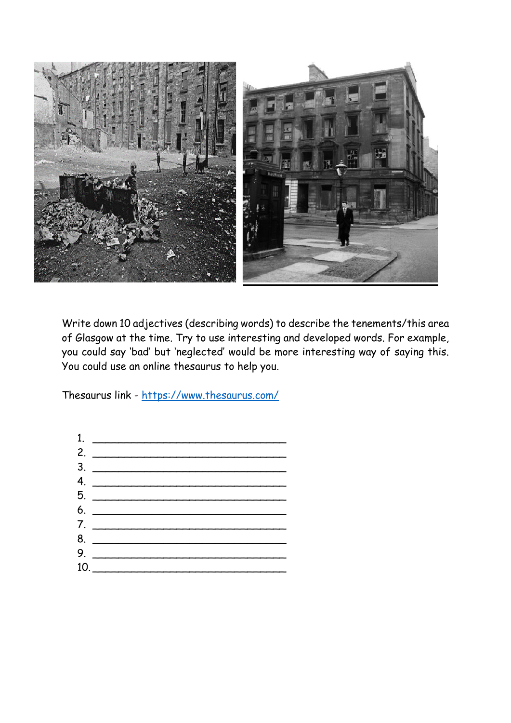

Write down 10 adjectives (describing words) to describe the tenements/this area of Glasgow at the time. Try to use interesting and developed words. For example, you could say 'bad' but 'neglected' would be more interesting way of saying this. You could use an online thesaurus to help you.

Thesaurus link - <https://www.thesaurus.com/>

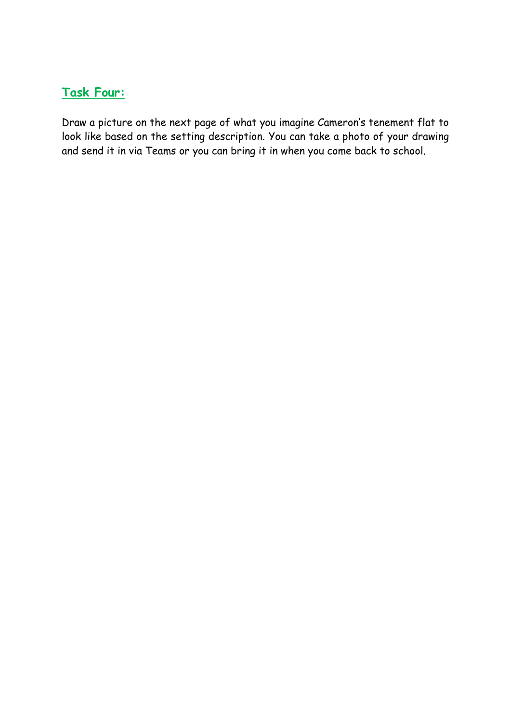## **Task Four:**

Draw a picture on the next page of what you imagine Cameron's tenement flat to look like based on the setting description. You can take a photo of your drawing and send it in via Teams or you can bring it in when you come back to school.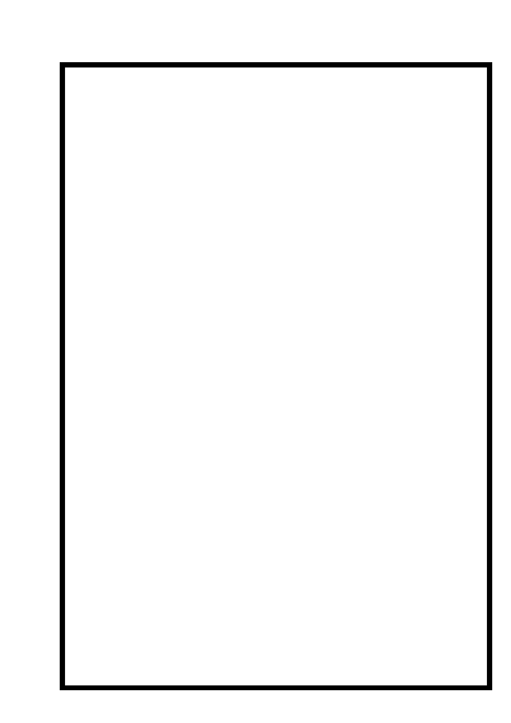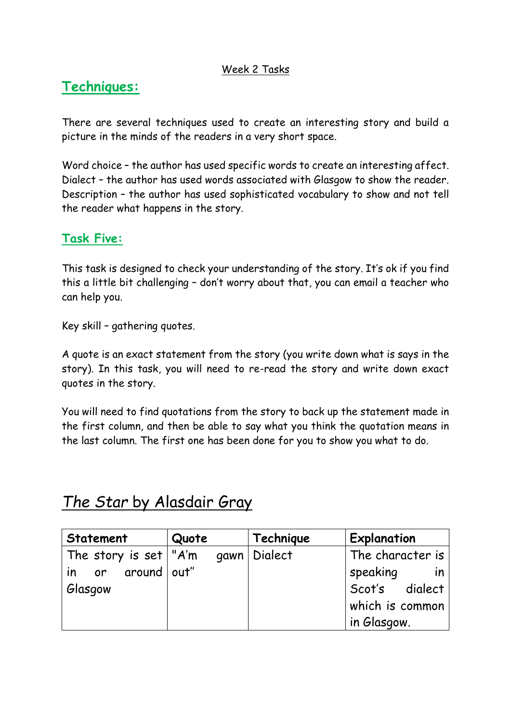#### Week 2 Tasks

## **Techniques:**

There are several techniques used to create an interesting story and build a picture in the minds of the readers in a very short space.

Word choice - the author has used specific words to create an interesting affect. Dialect – the author has used words associated with Glasgow to show the reader. Description – the author has used sophisticated vocabulary to show and not tell the reader what happens in the story.

#### **Task Five:**

This task is designed to check your understanding of the story. It's ok if you find this a little bit challenging – don't worry about that, you can email a teacher who can help you.

Key skill – gathering quotes.

A quote is an exact statement from the story (you write down what is says in the story). In this task, you will need to re-read the story and write down exact quotes in the story.

You will need to find quotations from the story to back up the statement made in the first column, and then be able to say what you think the quotation means in the last column. The first one has been done for you to show you what to do.

## *The Star* by Alasdair Gray

| Statement                    | Quote | Technique      | Explanation      |
|------------------------------|-------|----------------|------------------|
| The story is set $\mid$ "A'm |       | gawn   Dialect | The character is |
| in or around out"            |       |                | speaking<br>in   |
| Glasgow                      |       |                | Scot's dialect   |
|                              |       |                | which is common  |
|                              |       |                | in Glasgow.      |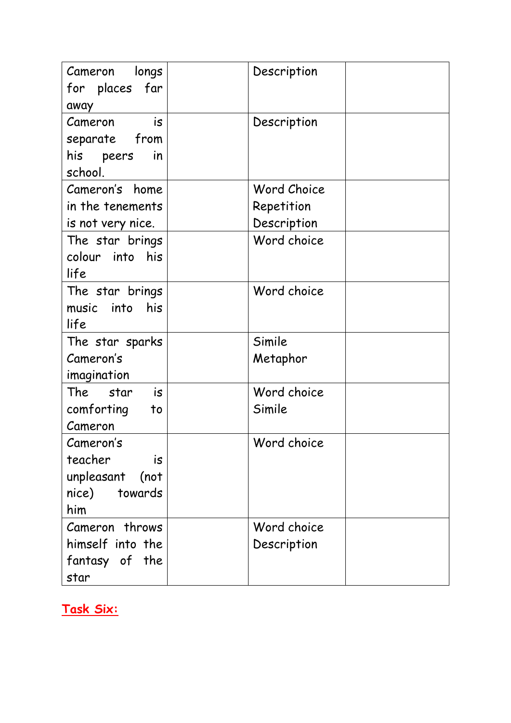| Cameron<br>longs<br>for places far<br>away                               | Description                              |  |
|--------------------------------------------------------------------------|------------------------------------------|--|
| is<br>Cameron<br>from<br>separate<br>his peers<br>in<br>school.          | Description                              |  |
| Cameron's home<br>in the tenements<br>is not very nice.                  | Word Choice<br>Repetition<br>Description |  |
| The star brings<br>colour into his<br>life                               | Word choice                              |  |
| The star brings<br>his<br>music into<br>life                             | Word choice                              |  |
| The star sparks<br>Cameron's<br>imagination                              | Simile<br>Metaphor                       |  |
| The star<br>is<br>comforting<br>to<br>Cameron                            | Word choice<br>Simile                    |  |
| Cameron's<br>teacher<br>is<br>unpleasant (not<br>towards<br>nice)<br>him | Word choice                              |  |
| Cameron throws<br>himself into the<br>fantasy of the<br>star             | Word choice<br>Description               |  |

**Task Six:**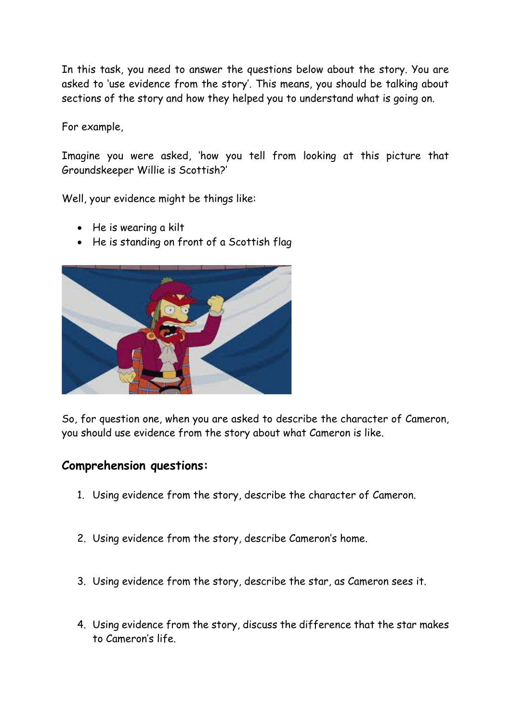In this task, you need to answer the questions below about the story. You are asked to 'use evidence from the story'. This means, you should be talking about sections of the story and how they helped you to understand what is going on.

For example,

Imagine you were asked, 'how you tell from looking at this picture that Groundskeeper Willie is Scottish?'

Well, your evidence might be things like:

- He is wearing a kilt
- He is standing on front of a Scottish flag



So, for question one, when you are asked to describe the character of Cameron, you should use evidence from the story about what Cameron is like.

#### **Comprehension questions:**

- 1. Using evidence from the story, describe the character of Cameron.
- 2. Using evidence from the story, describe Cameron's home.
- 3. Using evidence from the story, describe the star, as Cameron sees it.
- 4. Using evidence from the story, discuss the difference that the star makes to Cameron's life.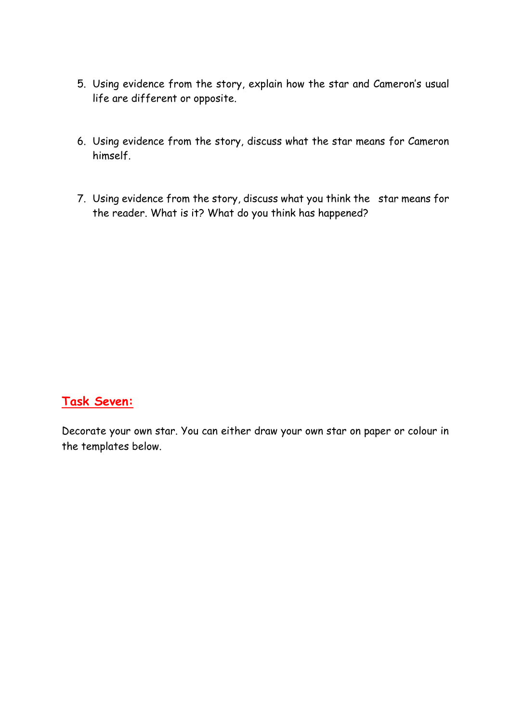- 5. Using evidence from the story, explain how the star and Cameron's usual life are different or opposite.
- 6. Using evidence from the story, discuss what the star means for Cameron himself.
- 7. Using evidence from the story, discuss what you think the star means for the reader. What is it? What do you think has happened?

### **Task Seven:**

Decorate your own star. You can either draw your own star on paper or colour in the templates below.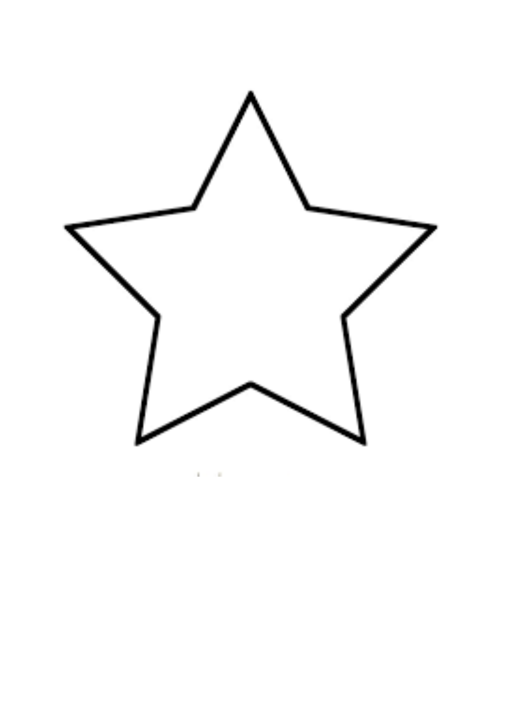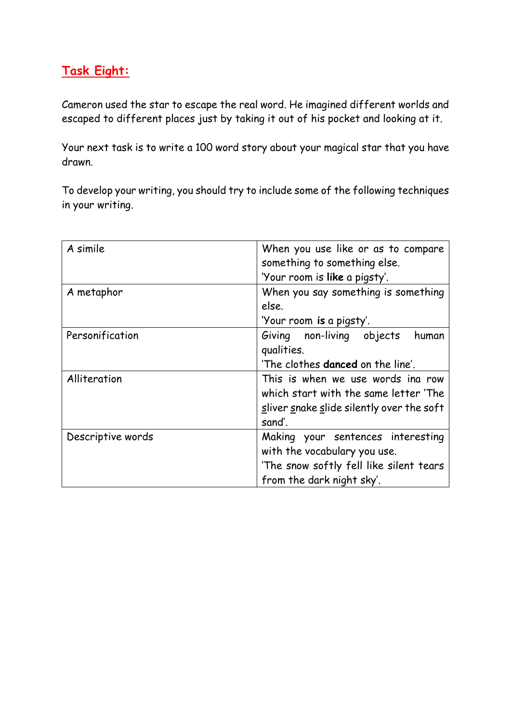## **Task Eight:**

Cameron used the star to escape the real word. He imagined different worlds and escaped to different places just by taking it out of his pocket and looking at it.

Your next task is to write a 100 word story about your magical star that you have drawn.

To develop your writing, you should try to include some of the following techniques in your writing.

| A simile          | When you use like or as to compare        |
|-------------------|-------------------------------------------|
|                   |                                           |
|                   | something to something else.              |
|                   | 'Your room is like a pigsty'.             |
| A metaphor        | When you say something is something       |
|                   | else.                                     |
|                   | 'Your room is a pigsty'.                  |
| Personification   | non-living objects<br>Giving<br>human     |
|                   | qualities.                                |
|                   | 'The clothes danced on the line'.         |
| Alliteration      | This is when we use words ina row         |
|                   | which start with the same letter 'The     |
|                   | sliver snake slide silently over the soft |
|                   | sand'.                                    |
| Descriptive words | Making your sentences interesting         |
|                   | with the vocabulary you use.              |
|                   | 'The snow softly fell like silent tears   |
|                   | from the dark night sky'.                 |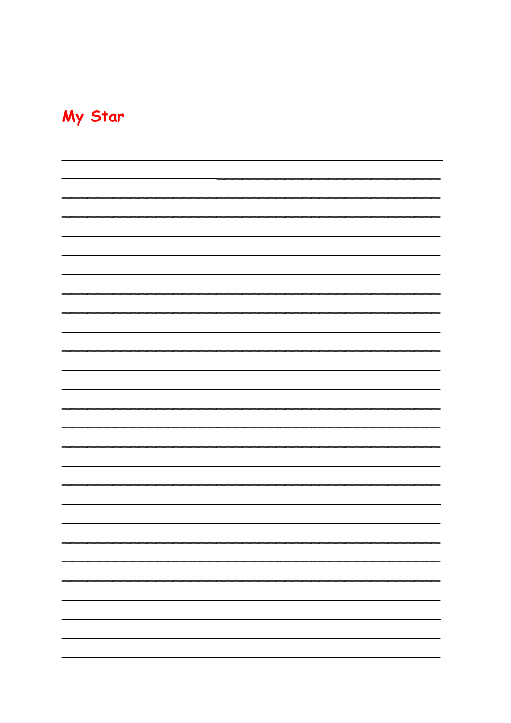# My Star